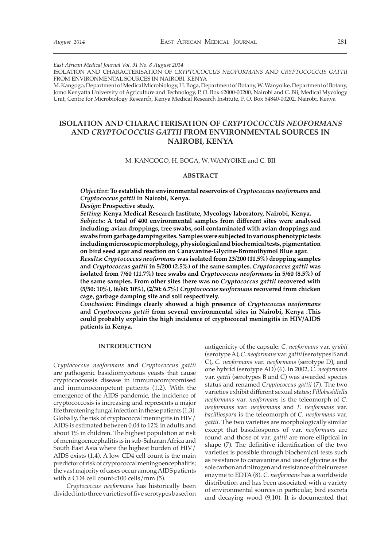*East African Medical Journal Vol. 91 No. 8 August 2014*

ISOLATION AND CHARACTERISATION OF *CRYPTOCOCCUS NEOFORMANS* AND *CRYPTOCOCCUS GATTII*  FROM ENVIRONMENTAL SOURCES IN NAIROBI, KENYA

M. Kangogo, Department of Medical Microbiology, H. Boga, Department of Botany, W. Wanyoike, Department of Botany, Jomo Kenyatta University of Agriculture and Technology, P. O. Box 62000-00200, Nairobi and C. Bii, Medical Mycology Unit, Centre for Microbiology Research, Kenya Medical Research Institute, P. O. Box 54840-00202, Nairobi, Kenya

# **ISOLATION AND CHARACTERISATION OF** *CRYPTOCOCCUS NEOFORMANS* **AND** *CRYPTOCOCCUS GATTII* **FROM ENVIRONMENTAL SOURCES IN NAIROBI, KENYA**

M. KANGOGO, H. BOGA, W. WANYOIKE and C. BII

#### **ABSTRACT**

*Objective***: To establish the environmental reservoirs of** *Cryptococcus neoformans* **and**  *Cryptococcus gattii* **in Nairobi, Kenya.**

*Design***: Prospective study.** 

*Setting***: Kenya Medical Research Institute, Mycology laboratory, Nairobi, Kenya.** *Subjects***: A total of 400 environmental samples from different sites were analysed including; avian droppings, tree swabs, soil contaminated with avian droppings and swabs from garbage damping sites. Samples were subjected to various phenotypic tests including microscopic morphology, physiological and biochemical tests, pigmentation on bird seed agar and reaction on Canavanine-Glycine-Bromothymol Blue agar.**

*Results***:** *Cryptococcus neoformans* **was isolated from 23/200 (11.5%) dropping samples and** *Cryptococcus gattii* **in 5/200 (2.5%) of the same samples.** *Cryptococcus gattii* **was isolated from 7/60 (11.7%) tree swabs and** *Cryptococcus neoformans* **in 5/60 (8.5%) of the same samples. From other sites there was no** *Cryptococcus gattii* **recovered with (5/50: 10%), (6/60: 10%), (2/30: 6.7%)** *Cryptococcus neoformans* **recovered from chicken cage, garbage damping site and soil respectively.**

*Conclusion***: Findings clearly showed a high presence of** *Cryptococcus neoformans*  **and** *Cryptococcus gattii* **from several environmental sites in Nairobi, Kenya .This could probably explain the high incidence of cryptococcal meningitis in HIV/AIDS patients in Kenya.**

## **INTRODUCTION**

*Cryptococcus neoformans* and *Cryptococcus gattii*  are pathogenic basidiomycetous yeasts that cause cryptococcossis disease in immunocompromised and immunocompetent patients (1,2). With the emergence of the AIDS pandemic, the incidence of cryptococcosis is increasing and represents a major life threatening fungal infection in these patients (1,3). Globally, the risk of cryptococcal meningitis in HIV/ AIDS is estimated between 0.04 to 12% in adults and about 1% in children. The highest population at risk of meningoencephalitis is in sub-Saharan Africa and South East Asia where the highest burden of HIV/ AIDS exists (1,4). A low CD4 cell count is the main predictor of risk of cryptococcal meningoencephalitis; the vast majority of cases occur among AIDS patients with a CD4 cell count<100 cells/mm (5).

*Cryptococcus neoforman*s has historically been divided into three varieties of five serotypes based on

antigenicity of the capsule: *C. neoformans* var. *grubii* (serotype A), *C. neoformans* var. *gattii* (serotypes B and C), *C. neoformans* var. *neoformans* (serotype D), and one hybrid (serotype AD) (6). In 2002, C. *neoformans* var. *gattii* (serotypes B and C) was awarded species status and renamed *Cryptococcus gattii* (7). The two varieties exhibit different sexual states; *Fillobasidiella neoformans* var. *neoformans* is the teleomorph of *C. neoformans* var. *neoformans* and *F. neoformans* var. *bacilliospora* is the teleomorph of *C. neoformans* var. *gattii*. The two varieties are morphologically similar except that basidiospores of var. *neoformans* are round and those of var. *gattii* are more elliptical in shape (7). The definitive identification of the two varieties is possible through biochemical tests such as resistance to canavanine and use of glycine as the sole carbon and nitrogen and resistance of their urease enzyme to EDTA (8). *C. neoformans* has a worldwide distribution and has been associated with a variety of environmental sources in particular, bird excreta and decaying wood (9,10). It is documented that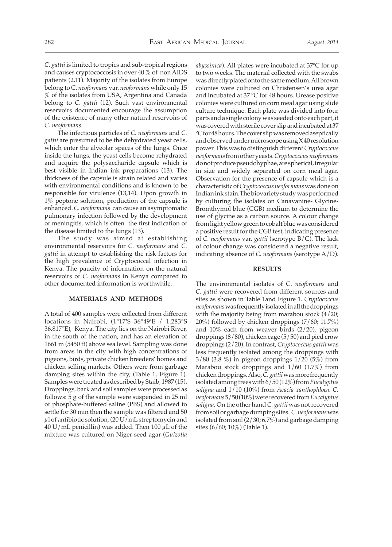*C. gattii* is limited to tropics and sub-tropical regions and causes cryptococcosis in over 40 % of non AIDS patients (2,11). Majority of the isolates from Europe belong to C. *neoformans* var. *neoformans* while only 15 % of the isolates from USA, Argentina and Canada belong to *C. gattii* (12). Such vast environmental reservoirs documented encourage the assumption of the existence of many other natural reservoirs of *C. neoformans*.

The infectious particles of *C. neoformans* and *C. gattii* are presumed to be the dehydrated yeast cells, which enter the alveolar spaces of the lungs. Once inside the lungs, the yeast cells become rehydrated and acquire the polysaccharide capsule which is best visible in Indian ink preparations (13). The thickness of the capsule is strain related and varies with environmental conditions and is known to be responsible for virulence (13,14). Upon growth in 1% peptone solution, production of the capsule is enhanced. *C. neoformans* can cause an asymptomatic pulmonary infection followed by the development of meningitis, which is often the first indication of the disease limited to the lungs (13).

The study was aimed at establishing environmental reservoirs for *C. neoformans* and *C. gattii* in attempt to establishing the risk factors for the high prevalence of Cryptococcal infection in Kenya. The paucity of information on the natural reservoirs of *C. neoformans* in Kenya compared to other documented information is worthwhile.

### **MATERIALS AND METHODS**

A total of 400 samples were collected from different locations in Nairobi, (1°17′S 36°49′E / 1.283°S 36.817°E), Kenya. The city lies on the Nairobi River, in the south of the nation, and has an elevation of 1661 m (5450 ft) above sea level. Sampling was done from areas in the city with high concentrations of pigeons, birds, private chicken breeders' homes and chicken selling markets. Others were from garbage damping sites within the city, (Table 1, Figure 1). Samples were treated as described by Staib, 1987 (15). Droppings, bark and soil samples were processed as follows: 5 g of the sample were suspended in 25 ml of phosphate-buffered saline (PBS) and allowed to settle for 30 min then the sample was filtered and 50  $\mu$ l of antibiotic solution, (20 U/mL streptomycin and 40 U/mL penicillin) was added. Then 100  $\mu$ L of the mixture was cultured on Niger-seed agar (*Guizotia* 

*abyssinica*). All plates were incubated at 37ºC for up to two weeks. The material collected with the swabs was directly plated onto the same medium. All brown colonies were cultured on Christensen's urea agar and incubated at 37 ºC for 48 hours. Urease positive colonies were cultured on corn meal agar using slide culture technique. Each plate was divided into four parts and a single colony was seeded onto each part, it was covered with sterile cover slip and incubated at 37 ºC for 48 hours. The cover slip was removed aseptically and observed under microscope using X 40 resolution power. This was to distinguish different *Cryptococcus neoformans* from other yeasts. *Cryptococcusneoformans* do not produce pseudohyphae, are spherical, irregular in size and widely separated on corn meal agar. Observation for the presence of capsule which is a characteristic of *Cryptococcusneoformans* was done on Indian ink stain.The biovariety study was performed by culturing the isolates on Canavanine- Glycine-Bromthymol blue (CGB) medium to determine the use of glycine as a carbon source. A colour change from light yellow green to cobalt blue was considered a positive result for the CGB test, indicating presence of *C. neoformans* var. *gattii* (serotype B/C). The lack of colour change was considered a negative result, indicating absence of *C. neoformans* (serotype A/D).

#### **RESULTS**

The environmental isolates of C. *neoformans* and *C. gattii* were recovered from different sources and sites as shown in Table 1and Figure 1. *Cryptococcus neoformans* was frequently isolated in all the droppings with the majority being from marabou stock  $(4/20;$ 20%) followed by chicken droppings (7/60; 11.7%) and 10% each from weaver birds (2/20), pigeon droppings (8/80), chicken cage (5/50) and pied crow droppings (2/20). In contrast, *Cryptococcus gattii* was less frequently isolated among the droppings with 3/80 (3.8 %) in pigeon droppings 1/20 (5%) from Marabou stock droppings and 1/60 (1.7%) from chicken droppings. Also, *C. gattii* was more frequently isolated among trees with 6/50 (12%) from *Eucalyptus saligna* and 1/10 (10%) from *Acacia xanthophloea. C. neoformans* 5/50 (10%) were recovered from *Eucalyptus saligna*. On the other hand *C. gattii* was not recovered from soil or garbage dumping sites. *C. neoformans* was isolated from soil (2/30; 6.7%) and garbage damping sites (6/60; 10%) (Table 1).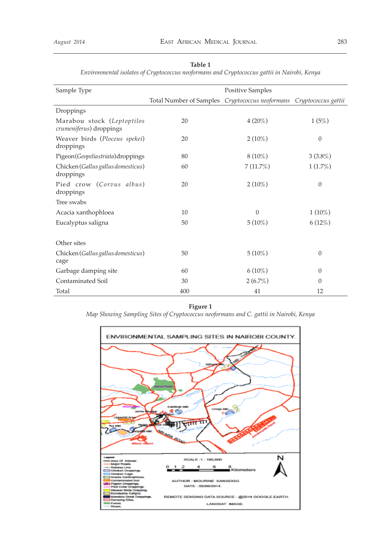| Sample Type                                           |                                                                     | <b>Positive Samples</b> |                |
|-------------------------------------------------------|---------------------------------------------------------------------|-------------------------|----------------|
|                                                       | Total Number of Samples Cryptococcus neoformans Cryptococcus gattii |                         |                |
| Droppings                                             |                                                                     |                         |                |
| Marabou stock (Leptoptilos<br>crumeniferus) droppings | 20                                                                  | $4(20\%)$               | 1(5%)          |
| Weaver birds (Ploceus spekei)<br>droppings            | 20                                                                  | $2(10\%)$               | $\theta$       |
| Pigeon (Geopeliastriata) droppings                    | 80                                                                  | $8(10\%)$               | $3(3.8\%)$     |
| Chicken (Gallus gallus domesticus)<br>droppings       | 60                                                                  | 7(11.7%)                | $1(1.7\%)$     |
| Pied crow (Corvus albus)<br>droppings                 | 20                                                                  | $2(10\%)$               | $\theta$       |
| Tree swabs                                            |                                                                     |                         |                |
| Acacia xanthophloea                                   | 10                                                                  | $\overline{0}$          | $1(10\%)$      |
| Eucalyptus saligna                                    | 50                                                                  | $5(10\%)$               | 6(12%)         |
| Other sites                                           |                                                                     |                         |                |
| Chicken (Gallus gallus domesticus)<br>cage            | 50                                                                  | $5(10\%)$               | $\overline{0}$ |
| Garbage damping site                                  | 60                                                                  | $6(10\%)$               | 0              |
| Contaminated Soil                                     | 30                                                                  | $2(6.7\%)$              | $\overline{0}$ |
| Total                                                 | 400                                                                 | 41                      | 12             |

*Environmental isolates of Cryptococcus neoformans and Cryptococcus gattii in Nairobi, Kenya*

**Figure 1**

*Map Showing Sampling Sites of Cryptococcus neoformans and C. gattii in Nairobi, Kenya*

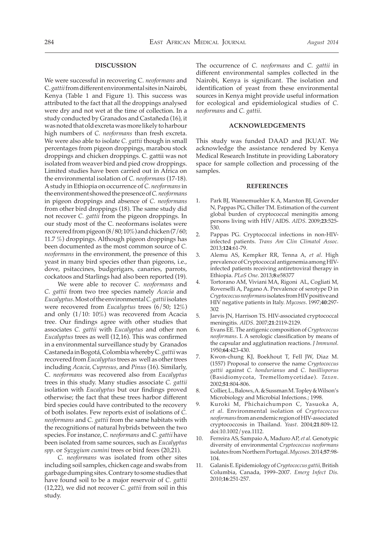#### **DISCUSSION**

We were successful in recovering C. *neoformans* and C. *gattii* from different environmental sites in Nairobi, Kenya (Table 1 and Figure 1). This success was attributed to the fact that all the droppings analysed were dry and not wet at the time of collection. In a study conducted by Granados and Castañeda (16), it was noted that old excreta was more likely to harbour high numbers of *C. neoformans* than fresh excreta. We were also able to isolate *C. gattii* though in small percentages from pigeon droppings, marabou stock droppings and chicken droppings. C. gattii was not isolated from weaver bird and pied crow droppings. Limited studies have been carried out in Africa on the environmental isolation of *C. neoformans* (17-18). A study in Ethiopia on occurrence of *C. neoformans* in the environment showed the presence of *C. neoformans* in pigeon droppings and absence of *C. neoformans* from other bird droppings (18). The same study did not recover *C. gattii* from the pigeon droppings. In our study most of the C. neoformans isolates were recovered from pigeon (8/80; 10%) and chicken (7/60; 11.7 %) droppings. Although pigeon droppings has been documented as the most common source of *C. neoformans* in the environment, the presence of this yeast in many bird species other than pigeons, i.e., dove, psitaccines, budgerigars, canaries, parrots, cockatoos and Starlings had also been reported (19).

We were able to recover *C. neoformans* and *C. gattii* from two tree species namely *Acacia* and *Eucalyptus*. Most of the environmental *C. gattii* isolates were recovered from *Eucalyptus* trees (6/50; 12%) and only (1/10: 10%) was recovered from Acacia tree. Our findings agree with other studies that associates *C. gattii* with *Eucalyptus* and other non *Eucalyptus* trees as well (12,16). This was confirmed in a environmental surveillance study by Granados Castaneda in Bogotá, Colombia whereby C. *gattii* was recovered from *Eucalyptus* trees as well as other trees including *Acacia, Cupresus,* and *Pinus* (16). Similarly, C. *neoformans* was recovered also from *Eucalyptus* trees in this study. Many studies associate *C. gattii* isolation with *Eucalyptus* but our findings proved otherwise; the fact that these trees harbor different bird species could have contributed to the recovery of both isolates. Few reports exist of isolations of *C. neoformans* and *C. gattii* from the same habitats with the recognitions of natural hybrids between the two species. For instance, *C. neoformans* and *C. gattii* have been isolated from same sources, such as *Eucalyptus spp*. or *Syzygium cumini* trees or bird feces (20,21).

*C. neoformans* was isolated from other sites including soil samples, chicken cage and swabs from garbage dumping sites. Contrary to some studies that have found soil to be a major reservoir of *C. gattii*  (12,22), we did not recover *C. gattii* from soil in this study.

The occurrence of *C. neoformans* and *C. gattii* in different environmental samples collected in the Nairobi, Kenya is significant. The isolation and identification of yeast from these environmental sources in Kenya might provide useful information for ecological and epidemiological studies of *C. neoformans* and *C. gattii*.

#### **ACKNOWLEDGEMENTS**

This study was funded DAAD and JKUAT. We acknowledge the assistance rendered by Kenya Medical Research Institute in providing Laboratory space for sample collection and processing of the samples.

#### **REFERENCES**

- 1. Park BJ, Wannemuehler K A, Marston BJ, Govender N, Pappas PG, Chiller TM. Estimation of the current global burden of cryptococcal meningitis among persons living with HIV/AIDS. *AIDS*. 2009;**23**:525- 530.
- 2. Pappas PG. Cryptococcal infections in non-HIVinfected patients. *Trans Am Clin Climatol Assoc.* 2013;**124**:61-79.
- 3. Alemu AS, Kempker RR, Tenna A, *et al*. High prevalence of Cryptococcal antigenemia among HIVinfected patients receiving antiretroviral therapy in Ethiopia. *PLoS One*. 2013;**8**:e58377
- 4. Tortorano AM, Viviani MA, Rigoni AL, Cogliati M, Roverselli A, Pagano A. Prevalence of serotype D in *Cryptococcus neoformans* isolates from HIV positive and HIV negative patients in Italy. *Mycoses*. 1997;**40**:297- 302
- 5. Jarvis JN, Harrison TS. HIV-associated cryptococcal meningitis. *AIDS*. 2007;**21**:2119-2129.
- 6. Evans EE. The antigenic composition of *Cryptococcus neoformans*. I. A serologic classification by means of the capsular and agglutination reactions. *J Immunol.*  1950;**64**:423-430.
- 7. Kwon-chung KJ, Boekhout T, Fell JW, Diaz M. (1557) Proposal to conserve the name *Cryptococcus gattii* against *C. hondurianus* and *C. basillisporus* (Basidiomycota, Tremellomycetidae). *Taxon*. 2002;**51**:804-806.
- 8. Collier, L., Balows, A. & Sussman M. Topley & Wilson's Microbiology and Microbial Infections.; 1998.
- 9. Kuroki M, Phichaichumpon C, Yasuoka A, *et al*. Environmental isolation of *Cryptococcus neoformans* from an endemic region of HIV-associated cryptococcosis in Thailand. *Yeast*. 2004;**21**:809-12. doi:10.1002/yea.1112.
- 10. Ferreira AS, Sampaio A, Maduro AP, *et al.* Genotypic diversity of environmental *Cryptococcus neoformans*  isolates from Northern Portugal. *Mycoses*. 2014;**57**:98- 104.
- 11. Galanis E. Epidemiology of *Cryptococcus gattii,* British Columbia, Canada, 1999–2007. *Emerg Infect Dis.* 2010;**16**:251-257.